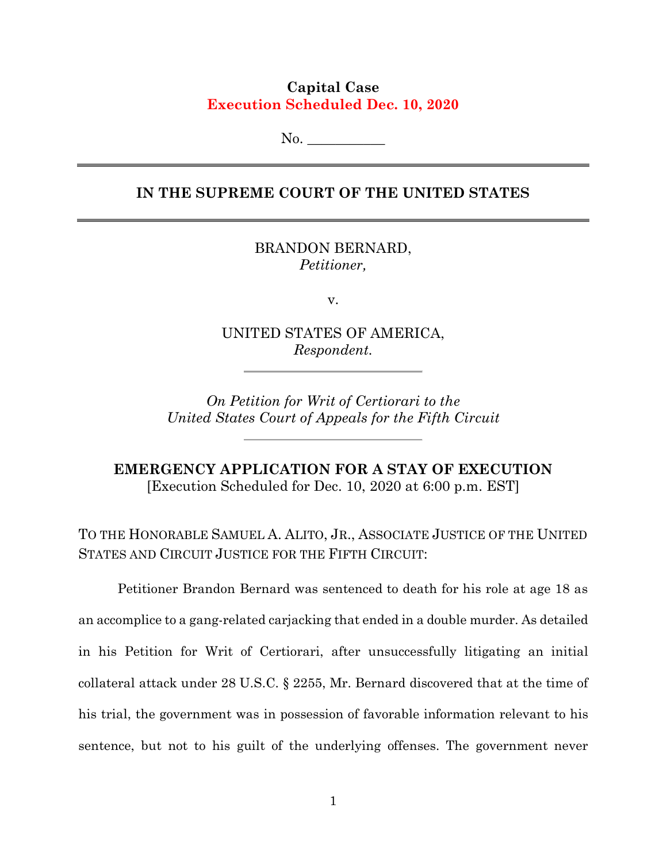# **Capital Case Execution Scheduled Dec. 10, 2020**

 $No.$ 

# **IN THE SUPREME COURT OF THE UNITED STATES**

BRANDON BERNARD, *Petitioner,*

v.

UNITED STATES OF AMERICA, *Respondent.*

*On Petition for Writ of Certiorari to the United States Court of Appeals for the Fifth Circuit*

**EMERGENCY APPLICATION FOR A STAY OF EXECUTION** [Execution Scheduled for Dec. 10, 2020 at 6:00 p.m. EST]

TO THE HONORABLE SAMUEL A. ALITO, JR., ASSOCIATE JUSTICE OF THE UNITED STATES AND CIRCUIT JUSTICE FOR THE FIFTH CIRCUIT:

Petitioner Brandon Bernard was sentenced to death for his role at age 18 as an accomplice to a gang-related carjacking that ended in a double murder. As detailed in his Petition for Writ of Certiorari, after unsuccessfully litigating an initial collateral attack under 28 U.S.C. § 2255, Mr. Bernard discovered that at the time of his trial, the government was in possession of favorable information relevant to his sentence, but not to his guilt of the underlying offenses. The government never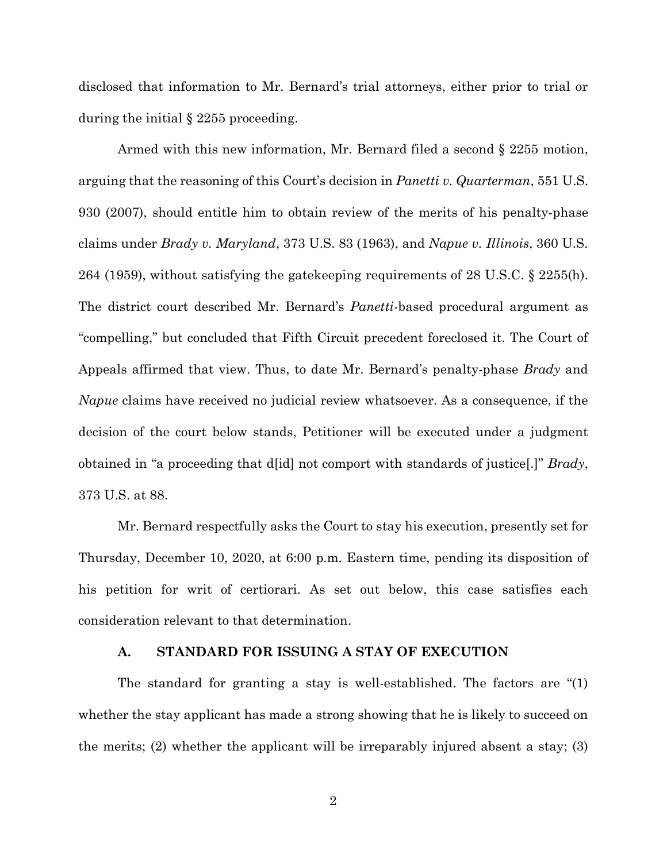disclosed that information to Mr. Bernard's trial attorneys, either prior to trial or during the initial § 2255 proceeding.

Armed with this new information, Mr. Bernard filed a second § 2255 motion, arguing that the reasoning of this Court's decision in *Panetti v. Quarterman*, 551 U.S. 930 (2007), should entitle him to obtain review of the merits of his penalty-phase claims under *Brady v. Maryland*, 373 U.S. 83 (1963), and *Napue v. Illinois*, 360 U.S. 264 (1959), without satisfying the gatekeeping requirements of 28 U.S.C. § 2255(h). The district court described Mr. Bernard's *Panetti*-based procedural argument as "compelling," but concluded that Fifth Circuit precedent foreclosed it. The Court of Appeals affirmed that view. Thus, to date Mr. Bernard's penalty-phase *Brady* and *Napue* claims have received no judicial review whatsoever. As a consequence, if the decision of the court below stands, Petitioner will be executed under a judgment obtained in "a proceeding that d[id] not comport with standards of justice[.]" *Brady*, 373 U.S. at 88.

Mr. Bernard respectfully asks the Court to stay his execution, presently set for Thursday, December 10, 2020, at 6:00 p.m. Eastern time, pending its disposition of his petition for writ of certiorari. As set out below, this case satisfies each consideration relevant to that determination.

#### **A. STANDARD FOR ISSUING A STAY OF EXECUTION**

The standard for granting a stay is well-established. The factors are "(1) whether the stay applicant has made a strong showing that he is likely to succeed on the merits; (2) whether the applicant will be irreparably injured absent a stay; (3)

2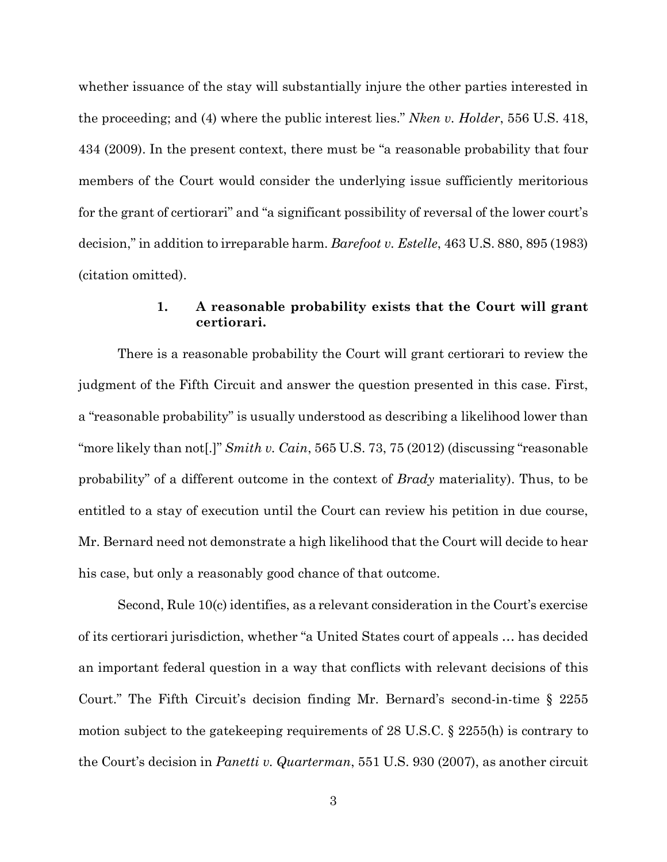whether issuance of the stay will substantially injure the other parties interested in the proceeding; and (4) where the public interest lies." *Nken v. Holder*, 556 U.S. 418, 434 (2009). In the present context, there must be "a reasonable probability that four members of the Court would consider the underlying issue sufficiently meritorious for the grant of certiorari" and "a significant possibility of reversal of the lower court's decision," in addition to irreparable harm. *Barefoot v. Estelle*, 463 U.S. 880, 895 (1983) (citation omitted).

### **1. A reasonable probability exists that the Court will grant certiorari.**

There is a reasonable probability the Court will grant certiorari to review the judgment of the Fifth Circuit and answer the question presented in this case. First, a "reasonable probability" is usually understood as describing a likelihood lower than "more likely than not[.]" *Smith v. Cain*, 565 U.S. 73, 75 (2012) (discussing "reasonable probability" of a different outcome in the context of *Brady* materiality). Thus, to be entitled to a stay of execution until the Court can review his petition in due course, Mr. Bernard need not demonstrate a high likelihood that the Court will decide to hear his case, but only a reasonably good chance of that outcome.

Second, Rule 10(c) identifies, as a relevant consideration in the Court's exercise of its certiorari jurisdiction, whether "a United States court of appeals … has decided an important federal question in a way that conflicts with relevant decisions of this Court." The Fifth Circuit's decision finding Mr. Bernard's second-in-time § 2255 motion subject to the gatekeeping requirements of 28 U.S.C. § 2255(h) is contrary to the Court's decision in *Panetti v. Quarterman*, 551 U.S. 930 (2007), as another circuit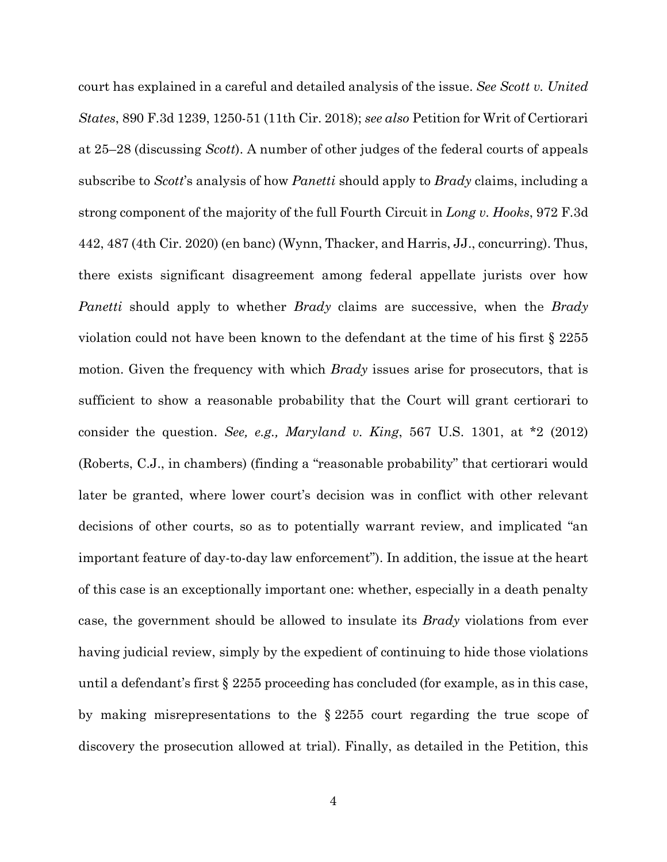court has explained in a careful and detailed analysis of the issue. *See Scott v. United States*, 890 F.3d 1239, 1250-51 (11th Cir. 2018); *see also* Petition for Writ of Certiorari at 25–28 (discussing *Scott*). A number of other judges of the federal courts of appeals subscribe to *Scott*'s analysis of how *Panetti* should apply to *Brady* claims, including a strong component of the majority of the full Fourth Circuit in *Long v. Hooks*, 972 F.3d 442, 487 (4th Cir. 2020) (en banc) (Wynn, Thacker, and Harris, JJ., concurring). Thus, there exists significant disagreement among federal appellate jurists over how *Panetti* should apply to whether *Brady* claims are successive, when the *Brady* violation could not have been known to the defendant at the time of his first § 2255 motion. Given the frequency with which *Brady* issues arise for prosecutors, that is sufficient to show a reasonable probability that the Court will grant certiorari to consider the question. *See, e.g., Maryland v. King*, 567 U.S. 1301, at \*2 (2012) (Roberts, C.J., in chambers) (finding a "reasonable probability" that certiorari would later be granted, where lower court's decision was in conflict with other relevant decisions of other courts, so as to potentially warrant review, and implicated "an important feature of day-to-day law enforcement"). In addition, the issue at the heart of this case is an exceptionally important one: whether, especially in a death penalty case, the government should be allowed to insulate its *Brady* violations from ever having judicial review, simply by the expedient of continuing to hide those violations until a defendant's first § 2255 proceeding has concluded (for example, as in this case, by making misrepresentations to the § 2255 court regarding the true scope of discovery the prosecution allowed at trial). Finally, as detailed in the Petition, this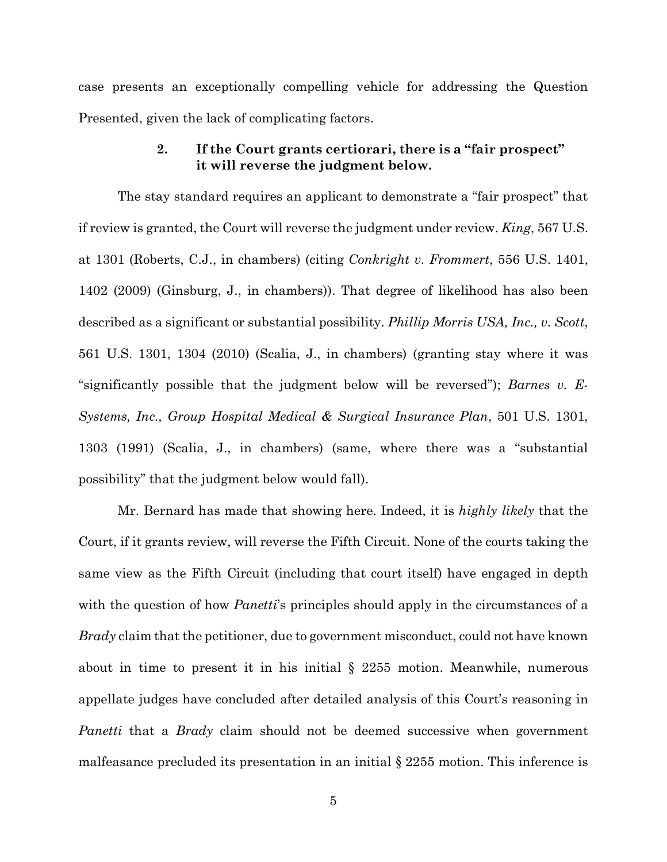case presents an exceptionally compelling vehicle for addressing the Question Presented, given the lack of complicating factors.

## **2. If the Court grants certiorari, there is a "fair prospect" it will reverse the judgment below.**

The stay standard requires an applicant to demonstrate a "fair prospect" that if review is granted, the Court will reverse the judgment under review. *King*, 567 U.S. at 1301 (Roberts, C.J., in chambers) (citing *Conkright v. Frommert*, 556 U.S. 1401, 1402 (2009) (Ginsburg, J., in chambers)). That degree of likelihood has also been described as a significant or substantial possibility. *Phillip Morris USA, Inc., v. Scott*, 561 U.S. 1301, 1304 (2010) (Scalia, J., in chambers) (granting stay where it was "significantly possible that the judgment below will be reversed"); *Barnes v. E-Systems, Inc., Group Hospital Medical & Surgical Insurance Plan*, 501 U.S. 1301, 1303 (1991) (Scalia, J., in chambers) (same, where there was a "substantial possibility" that the judgment below would fall).

Mr. Bernard has made that showing here. Indeed, it is *highly likely* that the Court, if it grants review, will reverse the Fifth Circuit. None of the courts taking the same view as the Fifth Circuit (including that court itself) have engaged in depth with the question of how *Panetti*'s principles should apply in the circumstances of a *Brady* claim that the petitioner, due to government misconduct, could not have known about in time to present it in his initial § 2255 motion. Meanwhile, numerous appellate judges have concluded after detailed analysis of this Court's reasoning in *Panetti* that a *Brady* claim should not be deemed successive when government malfeasance precluded its presentation in an initial § 2255 motion. This inference is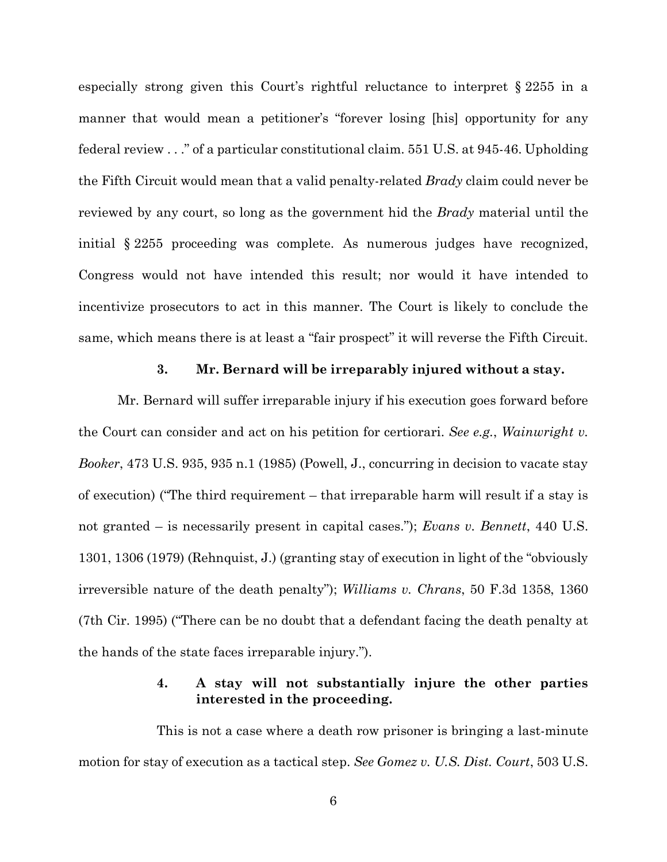especially strong given this Court's rightful reluctance to interpret § 2255 in a manner that would mean a petitioner's "forever losing [his] opportunity for any federal review . . ." of a particular constitutional claim. 551 U.S. at 945-46. Upholding the Fifth Circuit would mean that a valid penalty-related *Brady* claim could never be reviewed by any court, so long as the government hid the *Brady* material until the initial § 2255 proceeding was complete. As numerous judges have recognized, Congress would not have intended this result; nor would it have intended to incentivize prosecutors to act in this manner. The Court is likely to conclude the same, which means there is at least a "fair prospect" it will reverse the Fifth Circuit.

#### **3. Mr. Bernard will be irreparably injured without a stay.**

Mr. Bernard will suffer irreparable injury if his execution goes forward before the Court can consider and act on his petition for certiorari. *See e.g.*, *Wainwright v. Booker*, 473 U.S. 935, 935 n.1 (1985) (Powell, J., concurring in decision to vacate stay of execution) ("The third requirement – that irreparable harm will result if a stay is not granted – is necessarily present in capital cases."); *Evans v. Bennett*, 440 U.S. 1301, 1306 (1979) (Rehnquist, J.) (granting stay of execution in light of the "obviously irreversible nature of the death penalty"); *Williams v. Chrans*, 50 F.3d 1358, 1360 (7th Cir. 1995) ("There can be no doubt that a defendant facing the death penalty at the hands of the state faces irreparable injury.").

## **4. A stay will not substantially injure the other parties interested in the proceeding.**

This is not a case where a death row prisoner is bringing a last-minute motion for stay of execution as a tactical step. *See Gomez v. U.S. Dist. Court*, 503 U.S.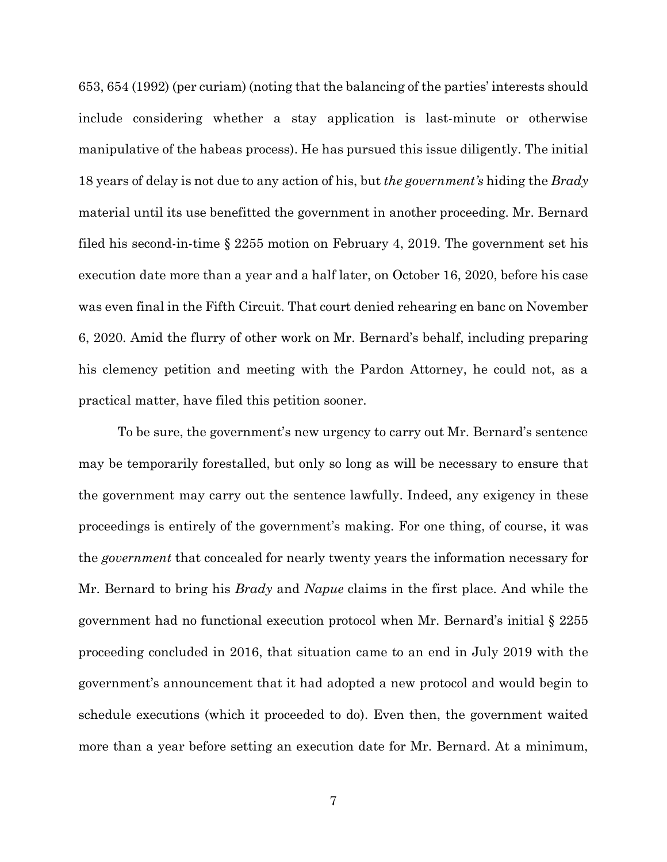653, 654 (1992) (per curiam) (noting that the balancing of the parties' interests should include considering whether a stay application is last-minute or otherwise manipulative of the habeas process). He has pursued this issue diligently. The initial 18 years of delay is not due to any action of his, but *the government's* hiding the *Brady*  material until its use benefitted the government in another proceeding. Mr. Bernard filed his second-in-time § 2255 motion on February 4, 2019. The government set his execution date more than a year and a half later, on October 16, 2020, before his case was even final in the Fifth Circuit. That court denied rehearing en banc on November 6, 2020. Amid the flurry of other work on Mr. Bernard's behalf, including preparing his clemency petition and meeting with the Pardon Attorney, he could not, as a practical matter, have filed this petition sooner.

To be sure, the government's new urgency to carry out Mr. Bernard's sentence may be temporarily forestalled, but only so long as will be necessary to ensure that the government may carry out the sentence lawfully. Indeed, any exigency in these proceedings is entirely of the government's making. For one thing, of course, it was the *government* that concealed for nearly twenty years the information necessary for Mr. Bernard to bring his *Brady* and *Napue* claims in the first place. And while the government had no functional execution protocol when Mr. Bernard's initial § 2255 proceeding concluded in 2016, that situation came to an end in July 2019 with the government's announcement that it had adopted a new protocol and would begin to schedule executions (which it proceeded to do). Even then, the government waited more than a year before setting an execution date for Mr. Bernard. At a minimum,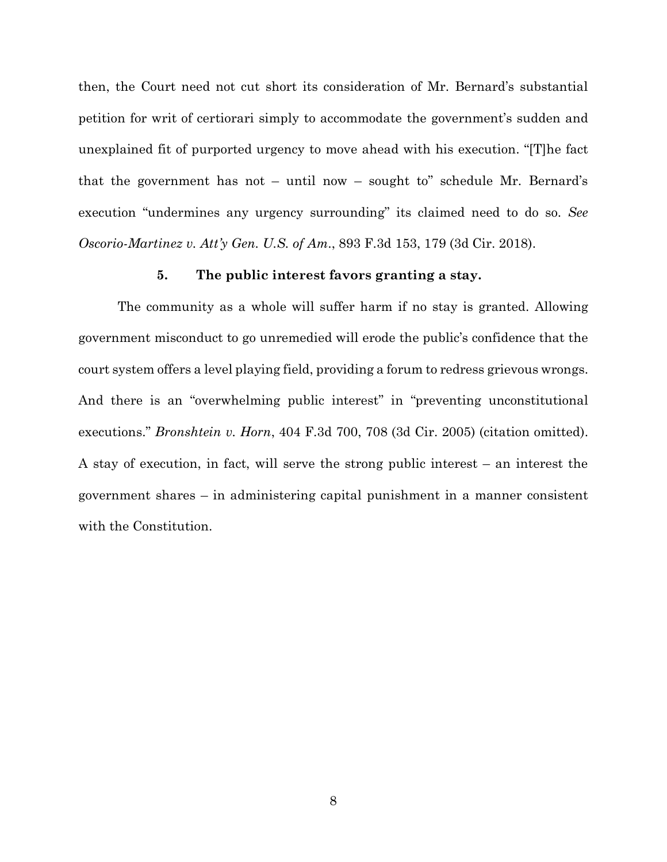then, the Court need not cut short its consideration of Mr. Bernard's substantial petition for writ of certiorari simply to accommodate the government's sudden and unexplained fit of purported urgency to move ahead with his execution. "[T]he fact that the government has not – until now – sought to" schedule Mr. Bernard's execution "undermines any urgency surrounding" its claimed need to do so. *See Oscorio-Martinez v. Att'y Gen. U.S. of Am*., 893 F.3d 153, 179 (3d Cir. 2018).

### **5. The public interest favors granting a stay.**

The community as a whole will suffer harm if no stay is granted. Allowing government misconduct to go unremedied will erode the public's confidence that the court system offers a level playing field, providing a forum to redress grievous wrongs. And there is an "overwhelming public interest" in "preventing unconstitutional executions." *Bronshtein v. Horn*, 404 F.3d 700, 708 (3d Cir. 2005) (citation omitted). A stay of execution, in fact, will serve the strong public interest – an interest the government shares – in administering capital punishment in a manner consistent with the Constitution.